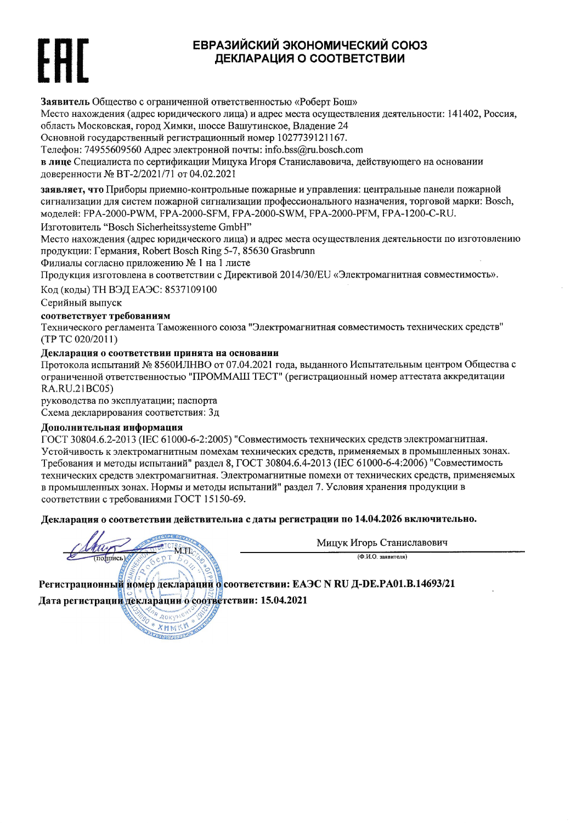# ЕВРАЗИЙСКИЙ ЭКОНОМИЧЕСКИЙ СОЮЗ ДЕКЛАРАЦИЯ О СООТВЕТСТВИИ

Заявитель Общество с ограниченной ответственностью «Роберт Бош»

Место нахождения (адрес юридического лица) и адрес места осуществления деятельности: 141402, Россия, область Московская, город Химки, шоссе Вашутинское, Владение 24

Основной государственный регистрационный номер 1027739121167.

Телефон: 74955609560 Адрес электронной почты: info.bss@ru.bosch.com

в лице Специалиста по сертификации Мицука Игоря Станиславовича, действующего на основании доверенности № ВТ-2/2021/71 от 04.02.2021

заявляет, что Приборы приемно-контрольные пожарные и управления: центральные панели пожарной сигнализации для систем пожарной сигнализации профессионального назначения, торговой марки: Bosch, моделей: FPA-2000-PWM, FPA-2000-SFM, FPA-2000-SWM, FPA-2000-PFM, FPA-1200-C-RU.

Изготовитель "Bosch Sicherheitssysteme GmbH"

Место нахождения (адрес юридического лица) и адрес места осуществления деятельности по изготовлению продукции: Германия, Robert Bosch Ring 5-7, 85630 Grasbrunn

Филиалы согласно приложению № 1 на 1 листе

Продукция изготовлена в соответствии с Директивой 2014/30/EU «Электромагнитная совместимость».

Код (коды) ТН ВЭД ЕАЭС: 8537109100

Серийный выпуск

### соответствует требованиям

Технического регламента Таможенного союза "Электромагнитная совместимость технических средств" (TP TC 020/2011)

## Декларация о соответствии принята на основании

Протокола испытаний № 8560ИЛНВО от 07.04.2021 года, выданного Испытательным центром Общества с ограниченной ответственностью "ПРОММАШ ТЕСТ" (регистрационный номер аттестата аккредитации RA.RU.21BC05)

руководства по эксплуатации; паспорта

Схема декларирования соответствия: Зд

### Дополнительная информация

ГОСТ 30804.6.2-2013 (IEC 61000-6-2:2005) "Совместимость технических средств электромагнитная. Устойчивость к электромагнитным помехам технических средств, применяемых в промышленных зонах. Требования и методы испытаний" раздел 8, ГОСТ 30804.6.4-2013 (IEC 61000-6-4:2006) "Совместимость технических средств электромагнитная. Электромагнитные помехи от технических средств, применяемых в промышленных зонах. Нормы и методы испытаний" раздел 7. Условия хранения продукции в соответствии с требованиями ГОСТ 15150-69.

Декларация о соответствии действительна с даты регистрации по 14.04.2026 включительно.

 $270$ 

 $XHH$ **DATED RESERVE**  Мицук Игорь Станиславович

 $(Φ.M.O.$  заявителя)

Регистрационный номер деклараций о соответствии: ЕАЭС N RU Д-DE.PA01.B.14693/21 Дата регистрации декларации о соответствии: 15.04.2021